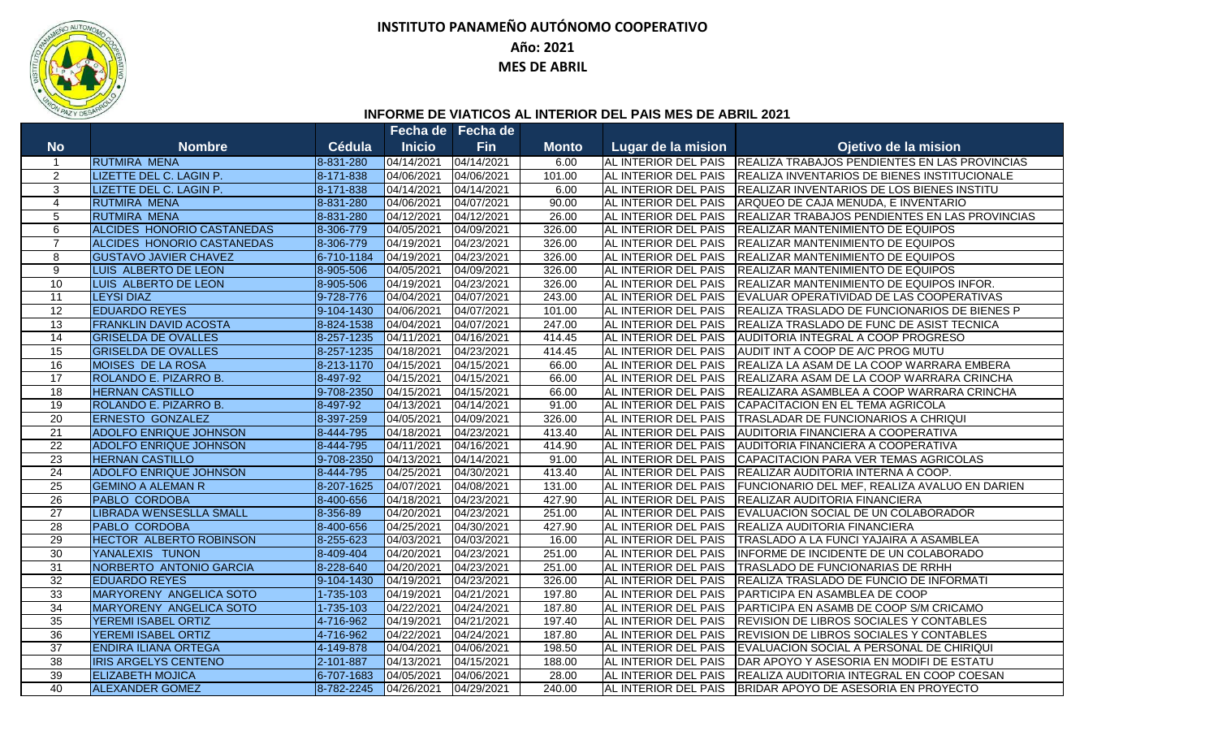

## **INSTITUTO PANAMEÑO AUTÓNOMO COOPERATIVO**

## **Año: 2021**

**MES DE ABRIL**

## **INFORME DE VIATICOS AL INTERIOR DEL PAIS MES DE ABRIL 2021**

|                 |                                   |                 |               | Fecha de Fecha de |              |                             |                                                |
|-----------------|-----------------------------------|-----------------|---------------|-------------------|--------------|-----------------------------|------------------------------------------------|
| <b>No</b>       | <b>Nombre</b>                     | <b>Cédula</b>   | <b>Inicio</b> | <b>Fin</b>        | <b>Monto</b> | Lugar de la mision          | Ojetivo de la mision                           |
| -1              | <b>RUTMIRA MENA</b>               | 8-831-280       | 04/14/2021    | 04/14/2021        | 6.00         | AL INTERIOR DEL PAIS        | REALIZA TRABAJOS PENDIENTES EN LAS PROVINCIAS  |
| $\overline{2}$  | LIZETTE DEL C. LAGIN P.           | 8-171-838       | 04/06/2021    | 04/06/2021        | 101.00       | AL INTERIOR DEL PAIS        | REALIZA INVENTARIOS DE BIENES INSTITUCIONALE   |
| 3               | LIZETTE DEL C. LAGIN P.           | 8-171-838       | 04/14/2021    | 04/14/2021        | 6.00         | AL INTERIOR DEL PAIS        | REALIZAR INVENTARIOS DE LOS BIENES INSTITU     |
| $\overline{4}$  | <b>RUTMIRA MENA</b>               | 8-831-280       | 04/06/2021    | 04/07/2021        | 90.00        | AL INTERIOR DEL PAIS        | ARQUEO DE CAJA MENUDA, E INVENTARIO            |
| 5               | <b>RUTMIRA MENA</b>               | 8-831-280       | 04/12/2021    | 04/12/2021        | 26.00        | AL INTERIOR DEL PAIS        | REALIZAR TRABAJOS PENDIENTES EN LAS PROVINCIAS |
| 6               | <b>ALCIDES HONORIO CASTANEDAS</b> | 8-306-779       | 04/05/2021    | 04/09/2021        | 326.00       | AL INTERIOR DEL PAIS        | <b>REALIZAR MANTENIMIENTO DE EQUIPOS</b>       |
| $\overline{7}$  | ALCIDES HONORIO CASTANEDAS        | 8-306-779       | 04/19/2021    | 04/23/2021        | 326.00       | AL INTERIOR DEL PAIS        | <b>REALIZAR MANTENIMIENTO DE EQUIPOS</b>       |
| 8               | <b>GUSTAVO JAVIER CHAVEZ</b>      | 6-710-1184      | 04/19/2021    | 04/23/2021        | 326.00       | AL INTERIOR DEL PAIS        | <b>REALIZAR MANTENIMIENTO DE EQUIPOS</b>       |
| $\overline{9}$  | LUIS ALBERTO DE LEON              | 8-905-506       | 04/05/2021    | 04/09/2021        | 326.00       | AL INTERIOR DEL PAIS        | <b>REALIZAR MANTENIMIENTO DE EQUIPOS</b>       |
| 10              | LUIS ALBERTO DE LEON              | 8-905-506       | 04/19/2021    | 04/23/2021        | 326.00       | AL INTERIOR DEL PAIS        | REALIZAR MANTENIMIENTO DE EQUIPOS INFOR.       |
| 11              | <b>LEYSI DIAZ</b>                 | 9-728-776       | 04/04/2021    | 04/07/2021        | 243.00       | AL INTERIOR DEL PAIS        | EVALUAR OPERATIVIDAD DE LAS COOPERATIVAS       |
| 12              | <b>EDUARDO REYES</b>              | 9-104-1430      | 04/06/2021    | 04/07/2021        | 101.00       | AL INTERIOR DEL PAIS        | REALIZA TRASLADO DE FUNCIONARIOS DE BIENES P   |
| 13              | <b>FRANKLIN DAVID ACOSTA</b>      | 8-824-1538      | 04/04/2021    | 04/07/2021        | 247.00       | AL INTERIOR DEL PAIS        | REALIZA TRASLADO DE FUNC DE ASIST TECNICA      |
| 14              | <b>GRISELDA DE OVALLES</b>        | 8-257-1235      | 04/11/2021    | 04/16/2021        | 414.45       | AL INTERIOR DEL PAIS        | AUDITORIA INTEGRAL A COOP PROGRESO             |
| 15              | <b>GRISELDA DE OVALLES</b>        | 8-257-1235      | 04/18/2021    | 04/23/2021        | 414.45       | AL INTERIOR DEL PAIS        | AUDIT INT A COOP DE A/C PROG MUTU              |
| 16              | MOISES DE LA ROSA                 | 8-213-1170      | 04/15/2021    | 04/15/2021        | 66.00        | AL INTERIOR DEL PAIS        | REALIZA LA ASAM DE LA COOP WARRARA EMBERA      |
| 17              | ROLANDO E. PIZARRO B.             | 8-497-92        | 04/15/2021    | 04/15/2021        | 66.00        | AL INTERIOR DEL PAIS        | REALIZARA ASAM DE LA COOP WARRARA CRINCHA      |
| 18              | <b>HERNAN CASTILLO</b>            | 9-708-2350      | 04/15/2021    | 04/15/2021        | 66.00        | AL INTERIOR DEL PAIS        | REALIZARA ASAMBLEA A COOP WARRARA CRINCHA      |
| 19              | ROLANDO E. PIZARRO B.             | 8-497-92        | 04/13/2021    | 04/14/2021        | 91.00        | AL INTERIOR DEL PAIS        | CAPACITACION EN EL TEMA AGRICOLA               |
| 20              | <b>ERNESTO GONZALEZ</b>           | 8-397-259       | 04/05/2021    | 04/09/2021        | 326.00       | AL INTERIOR DEL PAIS        | TRASLADAR DE FUNCIONARIOS A CHRIQUI            |
| $\overline{21}$ | <b>ADOLFO ENRIQUE JOHNSON</b>     | 8-444-795       | 04/18/2021    | 04/23/2021        | 413.40       | <b>AL INTERIOR DEL PAIS</b> | AUDITORIA FINANCIERA A COOPERATIVA             |
| $\overline{22}$ | <b>ADOLFO ENRIQUE JOHNSON</b>     | 8-444-795       | 04/11/2021    | 04/16/2021        | 414.90       | AL INTERIOR DEL PAIS        | AUDITORIA FINANCIERA A COOPERATIVA             |
| $\overline{23}$ | <b>HERNAN CASTILLO</b>            | 9-708-2350      | 04/13/2021    | 04/14/2021        | 91.00        | AL INTERIOR DEL PAIS        | CAPACITACION PARA VER TEMAS AGRICOLAS          |
| 24              | <b>ADOLFO ENRIQUE JOHNSON</b>     | 8-444-795       | 04/25/2021    | 04/30/2021        | 413.40       | AL INTERIOR DEL PAIS        | REALIZAR AUDITORIA INTERNA A COOP.             |
| $\overline{25}$ | <b>GEMINO A ALEMAN R</b>          | 8-207-1625      | 04/07/2021    | 04/08/2021        | 131.00       | AL INTERIOR DEL PAIS        | FUNCIONARIO DEL MEF, REALIZA AVALUO EN DARIEN  |
| $\overline{26}$ | <b>PABLO CORDOBA</b>              | 8-400-656       | 04/18/2021    | 04/23/2021        | 427.90       | AL INTERIOR DEL PAIS        | REALIZAR AUDITORIA FINANCIERA                  |
| $\overline{27}$ | <b>LIBRADA WENSESLLA SMALL</b>    | 8-356-89        | 04/20/2021    | 04/23/2021        | 251.00       | AL INTERIOR DEL PAIS        | EVALUACION SOCIAL DE UN COLABORADOR            |
| 28              | <b>PABLO CORDOBA</b>              | 8-400-656       | 04/25/2021    | 04/30/2021        | 427.90       | AL INTERIOR DEL PAIS        | REALIZA AUDITORIA FINANCIERA                   |
| 29              | <b>HECTOR ALBERTO ROBINSON</b>    | 8-255-623       | 04/03/2021    | 04/03/2021        | 16.00        | AL INTERIOR DEL PAIS        | TRASLADO A LA FUNCI YAJAIRA A ASAMBLEA         |
| 30              | YANALEXIS TUNON                   | 8-409-404       | 04/20/2021    | 04/23/2021        | 251.00       | AL INTERIOR DEL PAIS        | INFORME DE INCIDENTE DE UN COLABORADO          |
| $\overline{31}$ | NORBERTO ANTONIO GARCIA           | 8-228-640       | 04/20/2021    | 04/23/2021        | 251.00       | AL INTERIOR DEL PAIS        | TRASLADO DE FUNCIONARIAS DE RRHH               |
| 32              | <b>EDUARDO REYES</b>              | 9-104-1430      | 04/19/2021    | 04/23/2021        | 326.00       | AL INTERIOR DEL PAIS        | REALIZA TRASLADO DE FUNCIO DE INFORMATI        |
| 33              | MARYORENY ANGELICA SOTO           | 1-735-103       | 04/19/2021    | 04/21/2021        | 197.80       | AL INTERIOR DEL PAIS        | PARTICIPA EN ASAMBLEA DE COOP                  |
| 34              | MARYORENY ANGELICA SOTO           | $1 - 735 - 103$ | 04/22/2021    | 04/24/2021        | 187.80       | <b>AL INTERIOR DEL PAIS</b> | PARTICIPA EN ASAMB DE COOP S/M CRICAMO         |
| 35              | <b>YEREMI ISABEL ORTIZ</b>        | 4-716-962       | 04/19/2021    | 04/21/2021        | 197.40       | AL INTERIOR DEL PAIS        | <b>REVISION DE LIBROS SOCIALES Y CONTABLES</b> |
| 36              | <b>YEREMI ISABEL ORTIZ</b>        | 4-716-962       | 04/22/2021    | 04/24/2021        | 187.80       | AL INTERIOR DEL PAIS        | <b>REVISION DE LIBROS SOCIALES Y CONTABLES</b> |
| 37              | <b>ENDIRA ILIANA ORTEGA</b>       | 4-149-878       | 04/04/2021    | 04/06/2021        | 198.50       | AL INTERIOR DEL PAIS        | EVALUACION SOCIAL A PERSONAL DE CHIRIQUI       |
| $\overline{38}$ | <b>IRIS ARGELYS CENTENO</b>       | 2-101-887       | 04/13/2021    | 04/15/2021        | 188.00       | AL INTERIOR DEL PAIS        | DAR APOYO Y ASESORIA EN MODIFI DE ESTATU       |
| 39              | <b>ELIZABETH MOJICA</b>           | 6-707-1683      | 04/05/2021    | 04/06/2021        | 28.00        | AL INTERIOR DEL PAIS        | REALIZA AUDITORIA INTEGRAL EN COOP COESAN      |
| 40              | <b>ALEXANDER GOMEZ</b>            | 8-782-2245      | 04/26/2021    | 04/29/2021        | 240.00       | AL INTERIOR DEL PAIS        | BRIDAR APOYO DE ASESORIA EN PROYECTO           |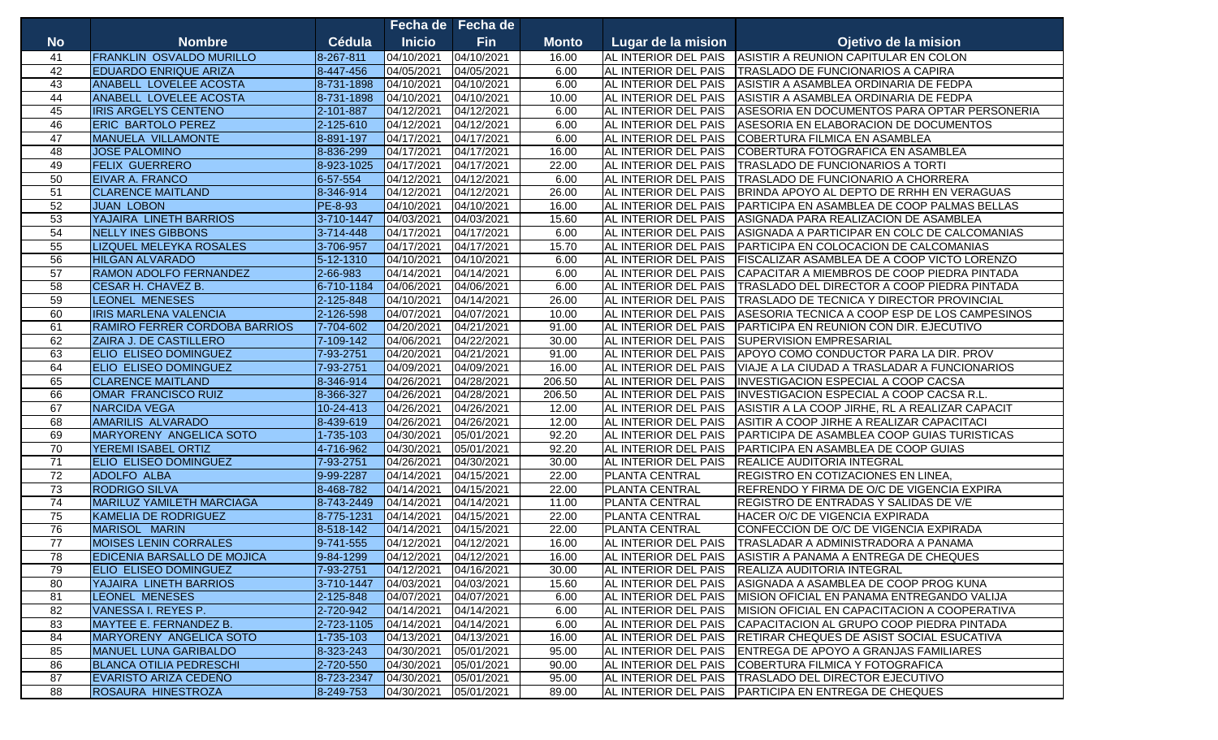|                 |                                    |                 |               | Fecha de Fecha de |              |                       |                                                                 |
|-----------------|------------------------------------|-----------------|---------------|-------------------|--------------|-----------------------|-----------------------------------------------------------------|
| <b>No</b>       | <b>Nombre</b>                      | Cédula          | <b>Inicio</b> | <b>Fin</b>        | <b>Monto</b> | Lugar de la mision    | Ojetivo de la mision                                            |
| 41              | <b>FRANKLIN OSVALDO MURILLO</b>    | 8-267-811       | 04/10/2021    | 04/10/2021        | 16.00        |                       | AL INTERIOR DEL PAIS ASISTIR A REUNION CAPITULAR EN COLON       |
| 42              | <b>EDUARDO ENRIQUE ARIZA</b>       | 8-447-456       | 04/05/2021    | 04/05/2021        | 6.00         | AL INTERIOR DEL PAIS  | TRASLADO DE FUNCIONARIOS A CAPIRA                               |
| 43              | ANABELL LOVELEE ACOSTA             | 8-731-1898      | 04/10/2021    | 04/10/2021        | 6.00         | AL INTERIOR DEL PAIS  | ASISTIR A ASAMBLEA ORDINARIA DE FEDPA                           |
| 44              | ANABELL LOVELEE ACOSTA             | 8-731-1898      | 04/10/2021    | 04/10/2021        | 10.00        | AL INTERIOR DEL PAIS  | ASISTIR A ASAMBLEA ORDINARIA DE FEDPA                           |
| 45              | <b>IRIS ARGELYS CENTENO</b>        | 2-101-887       | 04/12/2021    | 04/12/2021        | 6.00         | AL INTERIOR DEL PAIS  | ASESORIA EN DOCUMENTOS PARA OPTAR PERSONERIA                    |
| 46              | <b>ERIC BARTOLO PEREZ</b>          | 2-125-610       | 04/12/2021    | 04/12/2021        | 6.00         | AL INTERIOR DEL PAIS  | ASESORIA EN ELABORACION DE DOCUMENTOS                           |
| 47              | MANUELA VILLAMONTE                 | 8-891-197       | 04/17/2021    | 04/17/2021        | 6.00         | AL INTERIOR DEL PAIS  | COBERTURA FILMICA EN ASAMBLEA                                   |
| 48              | <b>JOSE PALOMINO</b>               | 8-836-299       | 04/17/2021    | 04/17/2021        | 16.00        | AL INTERIOR DEL PAIS  | COBERTURA FOTOGRAFICA EN ASAMBLEA                               |
| 49              | <b>FELIX GUERRERO</b>              | 8-923-1025      | 04/17/2021    | 04/17/2021        | 22.00        | AL INTERIOR DEL PAIS  | TRASLADO DE FUNCIONARIOS A TORTI                                |
| 50              | <b>EIVAR A. FRANCO</b>             | 6-57-554        | 04/12/2021    | 04/12/2021        | 6.00         | AL INTERIOR DEL PAIS  | TRASLADO DE FUNCIONARIO A CHORRERA                              |
| $\overline{51}$ | <b>CLARENCE MAITLAND</b>           | 8-346-914       | 04/12/2021    | 04/12/2021        | 26.00        | AL INTERIOR DEL PAIS  | BRINDA APOYO AL DEPTO DE RRHH EN VERAGUAS                       |
| 52              | <b>JUAN LOBON</b>                  | PE-8-93         | 04/10/2021    | 04/10/2021        | 16.00        | AL INTERIOR DEL PAIS  | PARTICIPA EN ASAMBLEA DE COOP PALMAS BELLAS                     |
| 53              | YAJAIRA LINETH BARRIOS             | 3-710-1447      | 04/03/2021    | 04/03/2021        | 15.60        | AL INTERIOR DEL PAIS  | ASIGNADA PARA REALIZACION DE ASAMBLEA                           |
| 54              | <b>NELLY INES GIBBONS</b>          | 3-714-448       | 04/17/2021    | 04/17/2021        | 6.00         | AL INTERIOR DEL PAIS  | ASIGNADA A PARTICIPAR EN COLC DE CALCOMANIAS                    |
| 55              | <b>LIZQUEL MELEYKA ROSALES</b>     | 3-706-957       | 04/17/2021    | 04/17/2021        | 15.70        | AL INTERIOR DEL PAIS  | PARTICIPA EN COLOCACION DE CALCOMANIAS                          |
| 56              | <b>HILGAN ALVARADO</b>             | 5-12-1310       | 04/10/2021    | 04/10/2021        | 6.00         | AL INTERIOR DEL PAIS  | FISCALIZAR ASAMBLEA DE A COOP VICTO LORENZO                     |
| 57              | <b>RAMON ADOLFO FERNANDEZ</b>      | 2-66-983        | 04/14/2021    | 04/14/2021        | 6.00         | AL INTERIOR DEL PAIS  | CAPACITAR A MIEMBROS DE COOP PIEDRA PINTADA                     |
| 58              | <b>CESAR H. CHAVEZ B.</b>          | 6-710-1184      | 04/06/2021    | 04/06/2021        | 6.00         | AL INTERIOR DEL PAIS  | TRASLADO DEL DIRECTOR A COOP PIEDRA PINTADA                     |
| 59              | <b>LEONEL MENESES</b>              | 2-125-848       | 04/10/2021    | 04/14/2021        | 26.00        | AL INTERIOR DEL PAIS  | TRASLADO DE TECNICA Y DIRECTOR PROVINCIAL                       |
| 60              | <b>IRIS MARLENA VALENCIA</b>       | 2-126-598       | 04/07/2021    | 04/07/2021        | 10.00        | AL INTERIOR DEL PAIS  | ASESORIA TECNICA A COOP ESP DE LOS CAMPESINOS                   |
| 61              | RAMIRO FERRER CORDOBA BARRIOS      | 7-704-602       | 04/20/2021    | 04/21/2021        | 91.00        | AL INTERIOR DEL PAIS  | PARTICIPA EN REUNION CON DIR. EJECUTIVO                         |
| 62              | ZAIRA J. DE CASTILLERO             | 7-109-142       | 04/06/2021    | 04/22/2021        | 30.00        | AL INTERIOR DEL PAIS  | <b>SUPERVISION EMPRESARIAL</b>                                  |
| 63              | <b>ELIO ELISEO DOMINGUEZ</b>       | 7-93-2751       | 04/20/2021    | 04/21/2021        | 91.00        | AL INTERIOR DEL PAIS  | APOYO COMO CONDUCTOR PARA LA DIR. PROV                          |
| 64              | <b>ELIO ELISEO DOMINGUEZ</b>       | 7-93-2751       | 04/09/2021    | 04/09/2021        | 16.00        | AL INTERIOR DEL PAIS  | VIAJE A LA CIUDAD A TRASLADAR A FUNCIONARIOS                    |
| 65              | <b>CLARENCE MAITLAND</b>           | 8-346-914       | 04/26/2021    | 04/28/2021        | 206.50       | AL INTERIOR DEL PAIS  | <b>INVESTIGACION ESPECIAL A COOP CACSA</b>                      |
| 66              | OMAR FRANCISCO RUIZ                | 8-366-327       | 04/26/2021    | 04/28/2021        | 206.50       | AL INTERIOR DEL PAIS  | INVESTIGACION ESPECIAL A COOP CACSA R.L.                        |
| 67              | <b>NARCIDA VEGA</b>                | 10-24-413       | 04/26/2021    | 04/26/2021        | 12.00        | AL INTERIOR DEL PAIS  | ASISTIR A LA COOP JIRHE, RL A REALIZAR CAPACIT                  |
| 68              | <b>AMARILIS ALVARADO</b>           | 8-439-619       | 04/26/2021    | 04/26/2021        | 12.00        | AL INTERIOR DEL PAIS  | ASITIR A COOP JIRHE A REALIZAR CAPACITACI                       |
| 69              | MARYORENY ANGELICA SOTO            | 1-735-103       | 04/30/2021    | 05/01/2021        | 92.20        | AL INTERIOR DEL PAIS  | PARTICIPA DE ASAMBLEA COOP GUIAS TURISTICAS                     |
| 70              | YEREMI ISABEL ORTIZ                | 4-716-962       | 04/30/2021    | 05/01/2021        | 92.20        | AL INTERIOR DEL PAIS  | PARTICIPA EN ASAMBLEA DE COOP GUIAS                             |
| 71              | <b>ELIO ELISEO DOMINGUEZ</b>       | 7-93-2751       | 04/26/2021    | 04/30/2021        | 30.00        | AL INTERIOR DEL PAIS  | <b>REALICE AUDITORIA INTEGRAL</b>                               |
| $\overline{72}$ | <b>ADOLFO ALBA</b>                 | 9-99-2287       | 04/14/2021    | 04/15/2021        | 22.00        | <b>PLANTA CENTRAL</b> | REGISTRO EN COTIZACIONES EN LINEA,                              |
| $\overline{73}$ | <b>RODRIGO SILVA</b>               | 8-468-782       | 04/14/2021    | 04/15/2021        | 22.00        | <b>PLANTA CENTRAL</b> | REFRENDO Y FIRMA DE O/C DE VIGENCIA EXPIRA                      |
| 74              | <b>MARILUZ YAMILETH MARCIAGA</b>   | 8-743-2449      | 04/14/2021    | 04/14/2021        | 11.00        | PLANTA CENTRAL        | REGISTRO DE ENTRADAS Y SALIDAS DE V/E                           |
| 75              | <b>KAMELIA DE RODRIGUEZ</b>        | 8-775-1231      | 04/14/2021    | 04/15/2021        | 22.00        | <b>PLANTA CENTRAL</b> | HACER O/C DE VIGENCIA EXPIRADA                                  |
| 76              | <b>MARISOL MARIN</b>               | 8-518-142       | 04/14/2021    | 04/15/2021        | 22.00        | <b>PLANTA CENTRAL</b> | CONFECCION DE O/C DE VIGENCIA EXPIRADA                          |
| 77              | <b>MOISES LENIN CORRALES</b>       | 9-741-555       | 04/12/2021    | 04/12/2021        | 16.00        | AL INTERIOR DEL PAIS  | TRASLADAR A ADMINISTRADORA A PANAMA                             |
| 78              | <b>EDICENIA BARSALLO DE MOJICA</b> | 9-84-1299       | 04/12/2021    | 04/12/2021        | 16.00        | AL INTERIOR DEL PAIS  | ASISTIR A PANAMA A ENTREGA DE CHEQUES                           |
| 79              | ELIO ELISEO DOMINGUEZ              | 7-93-2751       | 04/12/2021    | 04/16/2021        | 30.00        |                       | AL INTERIOR DEL PAIS   REALIZA AUDITORIA INTEGRAL               |
| 80              | YAJAIRA LINETH BARRIOS             | 3-710-1447      | 04/03/2021    | 04/03/2021        | 15.60        |                       | AL INTERIOR DEL PAIS ASIGNADA A ASAMBLEA DE COOP PROG KUNA      |
| 81              | <b>LEONEL MENESES</b>              | $2 - 125 - 848$ | 04/07/2021    | 04/07/2021        | 6.00         |                       | AL INTERIOR DEL PAIS MISION OFICIAL EN PANAMA ENTREGANDO VALIJA |
| 82              | VANESSA I. REYES P.                | 2-720-942       | 04/14/2021    | 04/14/2021        | 6.00         | AL INTERIOR DEL PAIS  | MISION OFICIAL EN CAPACITACION A COOPERATIVA                    |
| 83              | MAYTEE E. FERNANDEZ B.             | 2-723-1105      | 04/14/2021    | 04/14/2021        | 6.00         | AL INTERIOR DEL PAIS  | CAPACITACION AL GRUPO COOP PIEDRA PINTADA                       |
| 84              | MARYORENY ANGELICA SOTO            | 1-735-103       | 04/13/2021    | 04/13/2021        | 16.00        | AL INTERIOR DEL PAIS  | RETIRAR CHEQUES DE ASIST SOCIAL ESUCATIVA                       |
| 85              | <b>MANUEL LUNA GARIBALDO</b>       | 8-323-243       | 04/30/2021    | 05/01/2021        | 95.00        | AL INTERIOR DEL PAIS  | ENTREGA DE APOYO A GRANJAS FAMILIARES                           |
| 86              | <b>BLANCA OTILIA PEDRESCHI</b>     | 2-720-550       | 04/30/2021    | 05/01/2021        | 90.00        | AL INTERIOR DEL PAIS  | COBERTURA FILMICA Y FOTOGRAFICA                                 |
| 87              | EVARISTO ARIZA CEDEÑO              | 8-723-2347      | 04/30/2021    | 05/01/2021        | 95.00        |                       | AL INTERIOR DEL PAIS   TRASLADO DEL DIRECTOR EJECUTIVO          |
| 88              | ROSAURA HINESTROZA                 | 8-249-753       | 04/30/2021    | 05/01/2021        | 89.00        |                       | AL INTERIOR DEL PAIS PARTICIPA EN ENTREGA DE CHEQUES            |